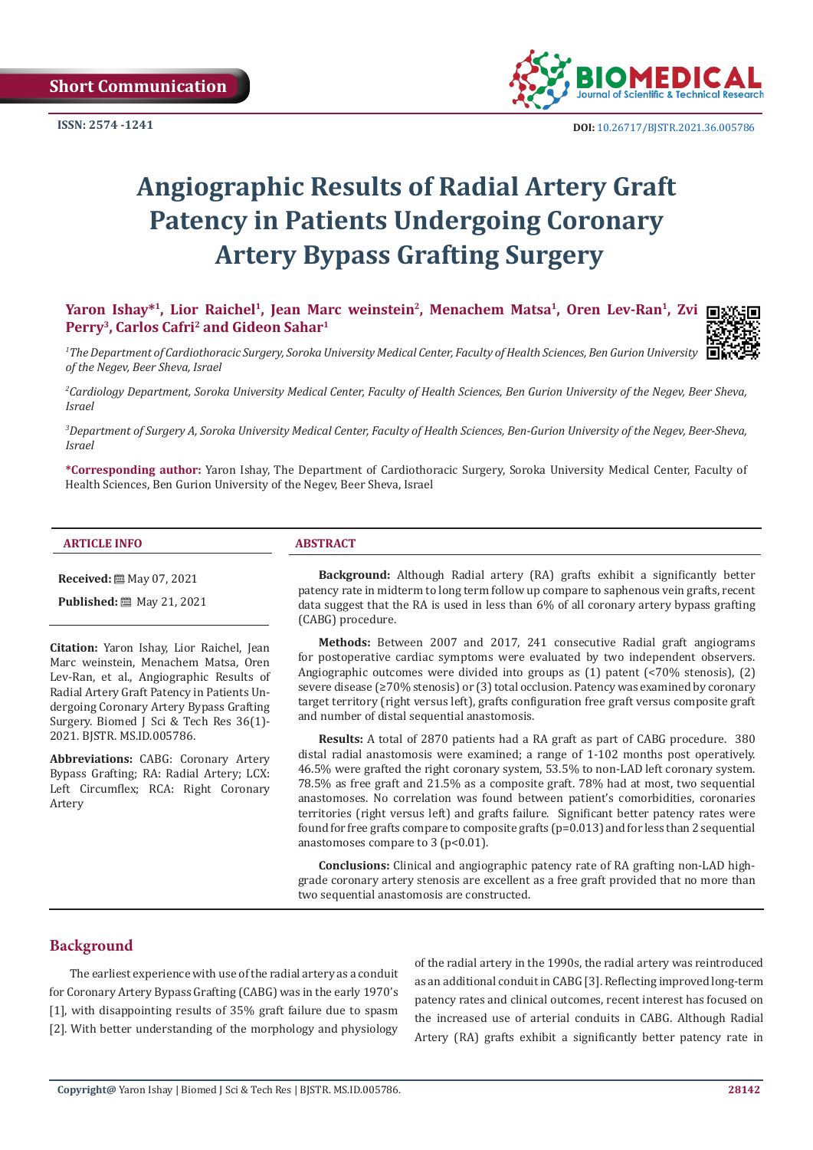

# **Angiographic Results of Radial Artery Graft Patency in Patients Undergoing Coronary Artery Bypass Grafting Surgery**

Yaron Ishay<sup>\*1</sup>, Lior Raichel<sup>1</sup>, Jean Marc weinstein<sup>2</sup>, Menachem Matsa<sup>1</sup>, Oren Lev-Ran<sup>1</sup>, Zvi **Perry3, Carlos Cafri2 and Gideon Sahar1**

*1 The Department of Cardiothoracic Surgery, Soroka University Medical Center, Faculty of Health Sciences, Ben Gurion University of the Negev, Beer Sheva, Israel*

*2 Cardiology Department, Soroka University Medical Center, Faculty of Health Sciences, Ben Gurion University of the Negev, Beer Sheva, Israel*

*3 Department of Surgery A, Soroka University Medical Center, Faculty of Health Sciences, Ben-Gurion University of the Negev, Beer-Sheva, Israel*

**\*Corresponding author:** Yaron Ishay, The Department of Cardiothoracic Surgery, Soroka University Medical Center, Faculty of Health Sciences, Ben Gurion University of the Negev, Beer Sheva, Israel

#### **ARTICLE INFO ABSTRACT**

**Received:** ■ May 07, 2021

**Published:** 圖 May 21, 2021

**Citation:** Yaron Ishay, Lior Raichel, Jean Marc weinstein, Menachem Matsa, Oren Lev-Ran, et al., Angiographic Results of Radial Artery Graft Patency in Patients Undergoing Coronary Artery Bypass Grafting Surgery. Biomed J Sci & Tech Res 36(1)- 2021. BJSTR. MS.ID.005786.

**Abbreviations:** CABG: Coronary Artery Bypass Grafting; RA: Radial Artery; LCX: Left Circumflex; RCA: Right Coronary Artery

**Background:** Although Radial artery (RA) grafts exhibit a significantly better patency rate in midterm to long term follow up compare to saphenous vein grafts, recent data suggest that the RA is used in less than 6% of all coronary artery bypass grafting (CABG) procedure.

**Methods:** Between 2007 and 2017, 241 consecutive Radial graft angiograms for postoperative cardiac symptoms were evaluated by two independent observers. Angiographic outcomes were divided into groups as (1) patent (<70% stenosis), (2) severe disease (≥70% stenosis) or (3) total occlusion. Patency was examined by coronary target territory (right versus left), grafts configuration free graft versus composite graft and number of distal sequential anastomosis.

**Results:** A total of 2870 patients had a RA graft as part of CABG procedure. 380 distal radial anastomosis were examined; a range of 1-102 months post operatively. 46.5% were grafted the right coronary system, 53.5% to non-LAD left coronary system. 78.5% as free graft and 21.5% as a composite graft. 78% had at most, two sequential anastomoses. No correlation was found between patient's comorbidities, coronaries territories (right versus left) and grafts failure. Significant better patency rates were found for free grafts compare to composite grafts ( $p=0.013$ ) and for less than 2 sequential anastomoses compare to 3 (p<0.01).

**Conclusions:** Clinical and angiographic patency rate of RA grafting non-LAD highgrade coronary artery stenosis are excellent as a free graft provided that no more than two sequential anastomosis are constructed.

# **Background**

The earliest experience with use of the radial artery as a conduit for Coronary Artery Bypass Grafting (CABG) was in the early 1970's [1], with disappointing results of 35% graft failure due to spasm [2]. With better understanding of the morphology and physiology

of the radial artery in the 1990s, the radial artery was reintroduced as an additional conduit in CABG [3]. Reflecting improved long-term patency rates and clinical outcomes, recent interest has focused on the increased use of arterial conduits in CABG. Although Radial Artery (RA) grafts exhibit a significantly better patency rate in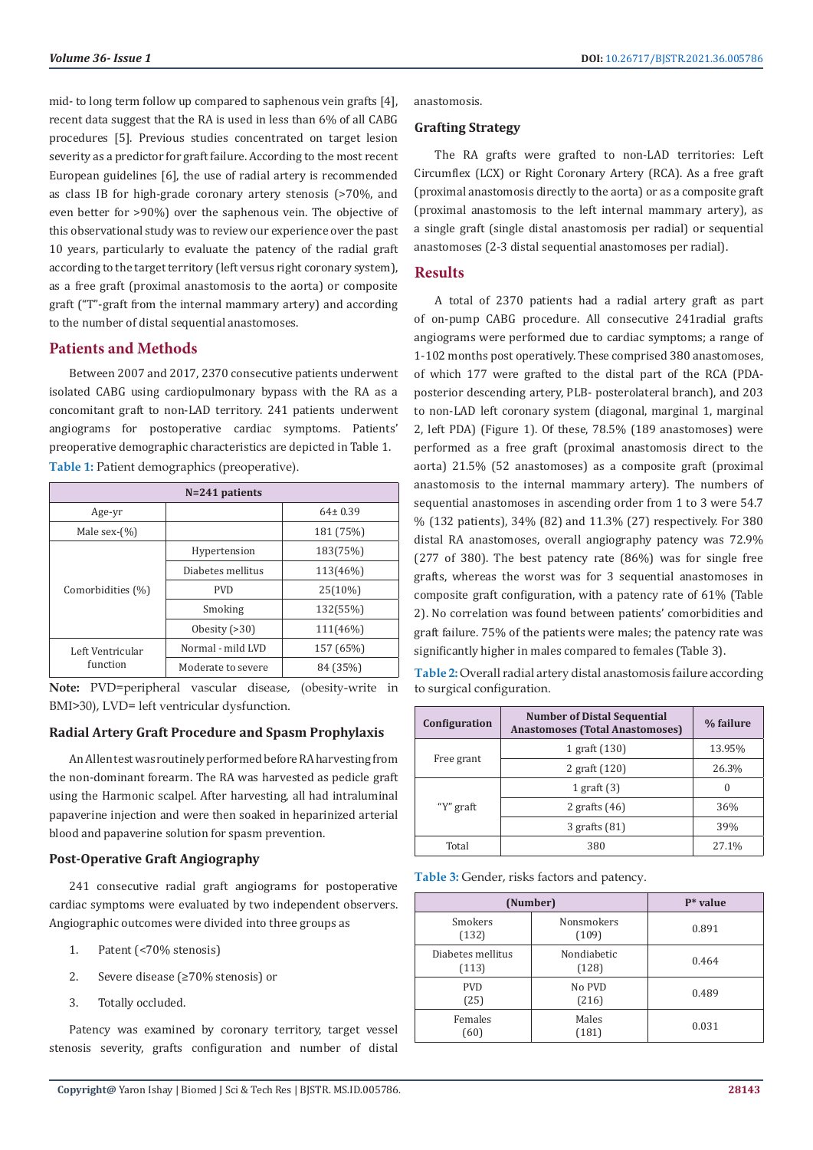mid- to long term follow up compared to saphenous vein grafts [4], recent data suggest that the RA is used in less than 6% of all CABG procedures [5]. Previous studies concentrated on target lesion severity as a predictor for graft failure. According to the most recent European guidelines [6], the use of radial artery is recommended as class IB for high-grade coronary artery stenosis (>70%, and even better for >90%) over the saphenous vein. The objective of this observational study was to review our experience over the past 10 years, particularly to evaluate the patency of the radial graft according to the target territory (left versus right coronary system), as a free graft (proximal anastomosis to the aorta) or composite graft ("T"-graft from the internal mammary artery) and according to the number of distal sequential anastomoses.

# **Patients and Methods**

Between 2007 and 2017, 2370 consecutive patients underwent isolated CABG using cardiopulmonary bypass with the RA as a concomitant graft to non-LAD territory. 241 patients underwent angiograms for postoperative cardiac symptoms. Patients' preoperative demographic characteristics are depicted in Table 1. **Table 1:** Patient demographics (preoperative).

| $N=241$ patients             |                    |               |  |  |
|------------------------------|--------------------|---------------|--|--|
| Age-yr                       |                    | $64 \pm 0.39$ |  |  |
| Male sex- $(\% )$            |                    | 181 (75%)     |  |  |
| Comorbidities (%)            | Hypertension       | 183(75%)      |  |  |
|                              | Diabetes mellitus  | 113(46%)      |  |  |
|                              | <b>PVD</b>         | 25(10%)       |  |  |
|                              | Smoking            | 132(55%)      |  |  |
|                              | Obesity $( > 30)$  | 111(46%)      |  |  |
| Left Ventricular<br>function | Normal - mild LVD  | 157 (65%)     |  |  |
|                              | Moderate to severe | 84 (35%)      |  |  |

**Note:** PVD=peripheral vascular disease, (obesity-write in BMI>30), LVD= left ventricular dysfunction.

#### **Radial Artery Graft Procedure and Spasm Prophylaxis**

An Allen test was routinely performed before RA harvesting from the non-dominant forearm. The RA was harvested as pedicle graft using the Harmonic scalpel. After harvesting, all had intraluminal papaverine injection and were then soaked in heparinized arterial blood and papaverine solution for spasm prevention.

#### **Post-Operative Graft Angiography**

241 consecutive radial graft angiograms for postoperative cardiac symptoms were evaluated by two independent observers. Angiographic outcomes were divided into three groups as

- 1. Patent (<70% stenosis)
- 2. Severe disease (≥70% stenosis) or
- 3. Totally occluded.

Patency was examined by coronary territory, target vessel stenosis severity, grafts configuration and number of distal anastomosis.

## **Grafting Strategy**

The RA grafts were grafted to non-LAD territories: Left Circumflex (LCX) or Right Coronary Artery (RCA). As a free graft (proximal anastomosis directly to the aorta) or as a composite graft (proximal anastomosis to the left internal mammary artery), as a single graft (single distal anastomosis per radial) or sequential anastomoses (2-3 distal sequential anastomoses per radial).

#### **Results**

A total of 2370 patients had a radial artery graft as part of on-pump CABG procedure. All consecutive 241radial grafts angiograms were performed due to cardiac symptoms; a range of 1-102 months post operatively. These comprised 380 anastomoses, of which 177 were grafted to the distal part of the RCA (PDAposterior descending artery, PLB- posterolateral branch), and 203 to non-LAD left coronary system (diagonal, marginal 1, marginal 2, left PDA) (Figure 1). Of these, 78.5% (189 anastomoses) were performed as a free graft (proximal anastomosis direct to the aorta) 21.5% (52 anastomoses) as a composite graft (proximal anastomosis to the internal mammary artery). The numbers of sequential anastomoses in ascending order from 1 to 3 were 54.7 % (132 patients), 34% (82) and 11.3% (27) respectively. For 380 distal RA anastomoses, overall angiography patency was 72.9% (277 of 380). The best patency rate (86%) was for single free grafts, whereas the worst was for 3 sequential anastomoses in composite graft configuration, with a patency rate of 61% (Table 2). No correlation was found between patients' comorbidities and graft failure. 75% of the patients were males; the patency rate was significantly higher in males compared to females (Table 3).

**Table 2:** Overall radial artery distal anastomosis failure according to surgical configuration.

| Configuration | <b>Number of Distal Sequential</b><br><b>Anastomoses (Total Anastomoses)</b> | % failure |
|---------------|------------------------------------------------------------------------------|-----------|
| Free grant    | 1 graft (130)                                                                | 13.95%    |
|               | 2 graft (120)                                                                | 26.3%     |
| "Y" graft     | 1 graft $(3)$                                                                |           |
|               | 2 grafts $(46)$                                                              | 36%       |
|               | $3$ grafts $(81)$                                                            | 39%       |
| Total         | 380                                                                          | 27.1%     |

**Table 3:** Gender, risks factors and patency.

| (Number)                   |                            | $P^*$ value |
|----------------------------|----------------------------|-------------|
| <b>Smokers</b><br>(132)    | <b>Nonsmokers</b><br>(109) | 0.891       |
| Diabetes mellitus<br>(113) | Nondiabetic<br>(128)       | 0.464       |
| <b>PVD</b><br>(25)         | No PVD<br>(216)            | 0.489       |
| Females<br>(60)            | Males<br>(181)             | 0.031       |